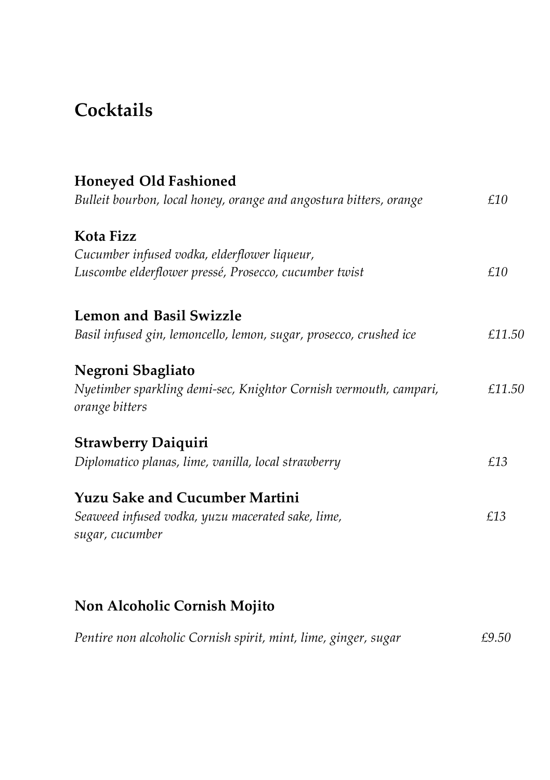# **Cocktails**

| <b>Honeyed Old Fashioned</b>                                                        |        |
|-------------------------------------------------------------------------------------|--------|
| Bulleit bourbon, local honey, orange and angostura bitters, orange                  | £10    |
| Kota Fizz                                                                           |        |
| Cucumber infused vodka, elderflower liqueur,                                        |        |
| Luscombe elderflower pressé, Prosecco, cucumber twist                               | £10    |
| <b>Lemon and Basil Swizzle</b>                                                      |        |
| Basil infused gin, lemoncello, lemon, sugar, prosecco, crushed ice                  | £11.50 |
| Negroni Sbagliato                                                                   |        |
| Nyetimber sparkling demi-sec, Knightor Cornish vermouth, campari,<br>orange bitters | £11.50 |
| <b>Strawberry Daiquiri</b>                                                          |        |
| Diplomatico planas, lime, vanilla, local strawberry                                 | £13    |
| <b>Yuzu Sake and Cucumber Martini</b>                                               |        |
| Seaweed infused vodka, yuzu macerated sake, lime,<br>sugar, cucumber                | £13    |
|                                                                                     |        |

# **Non Alcoholic Cornish Mojito**

| Pentire non alcoholic Cornish spirit, mint, lime, ginger, sugar |  |  |  | £9.50 |
|-----------------------------------------------------------------|--|--|--|-------|
|-----------------------------------------------------------------|--|--|--|-------|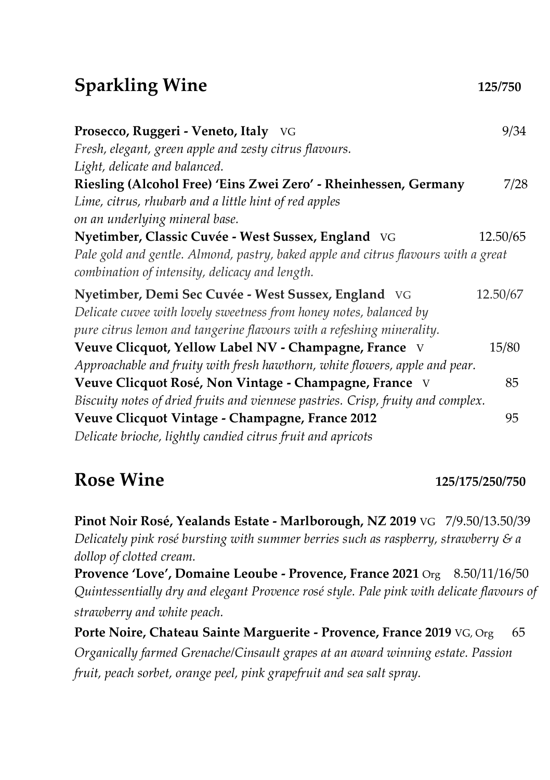# **Sparkling Wine 125/750**

| Prosecco, Ruggeri - Veneto, Italy VG                                                                                                                                                               | 9/34     |
|----------------------------------------------------------------------------------------------------------------------------------------------------------------------------------------------------|----------|
| Fresh, elegant, green apple and zesty citrus flavours.                                                                                                                                             |          |
| Light, delicate and balanced.                                                                                                                                                                      |          |
| Riesling (Alcohol Free) 'Eins Zwei Zero' - Rheinhessen, Germany                                                                                                                                    | 7/28     |
| Lime, citrus, rhubarb and a little hint of red apples                                                                                                                                              |          |
| on an underlying mineral base.                                                                                                                                                                     |          |
| Nyetimber, Classic Cuvée - West Sussex, England VG                                                                                                                                                 | 12.50/65 |
| Pale gold and gentle. Almond, pastry, baked apple and citrus flavours with a great<br>combination of intensity, delicacy and length.                                                               |          |
| Nyetimber, Demi Sec Cuvée - West Sussex, England VG<br>Delicate cuvee with lovely sweetness from honey notes, balanced by<br>pure citrus lemon and tangerine flavours with a refeshing minerality. | 12.50/67 |
| Veuve Clicquot, Yellow Label NV - Champagne, France V                                                                                                                                              | 15/80    |
| Approachable and fruity with fresh hawthorn, white flowers, apple and pear.                                                                                                                        |          |
| Veuve Clicquot Rosé, Non Vintage - Champagne, France V                                                                                                                                             | 85       |
| Biscuity notes of dried fruits and viennese pastries. Crisp, fruity and complex.                                                                                                                   |          |
| Veuve Clicquot Vintage - Champagne, France 2012                                                                                                                                                    | 95       |
| Delicate brioche, lightly candied citrus fruit and apricots                                                                                                                                        |          |

#### **Rose Wine 125/175/250/750**

**Pinot Noir Rosé, Yealands Estate - Marlborough, NZ 2019** VG 7/9.50/13.50/39 *Delicately pink rosé bursting with summer berries such as raspberry, strawberry & a dollop of clotted cream.*

**Provence 'Love', Domaine Leoube - Provence, France 2021** Org 8.50/11/16/50 *Quintessentially dry and elegant Provence rosé style. Pale pink with delicate flavours of strawberry and white peach.*

**Porte Noire, Chateau Sainte Marguerite - Provence, France 2019** VG, Org 65 *Organically farmed Grenache/Cinsault grapes at an award winning estate. Passion fruit, peach sorbet, orange peel, pink grapefruit and sea salt spray.*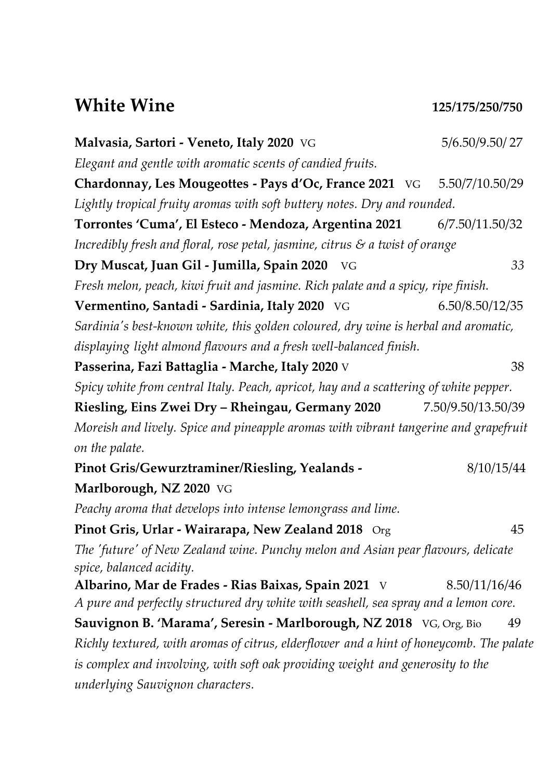#### **White Wine 125/175/250/750**

**Malvasia, Sartori - Veneto, Italy 2020** VG 5/6.50/9.50/ 27 *Elegant and gentle with aromatic scents of candied fruits.* **Chardonnay, Les Mougeottes - Pays d'Oc, France 2021** VG 5.50/7/10.50/29 *Lightly tropical fruity aromas with soft buttery notes. Dry and rounded.* **Torrontes 'Cuma', El Esteco - Mendoza, Argentina 2021** 6/7.50/11.50/32 *Incredibly fresh and floral, rose petal, jasmine, citrus & a twist of orange*  **Dry Muscat, Juan Gil - Jumilla, Spain 2020** VG *33 Fresh melon, peach, kiwi fruit and jasmine. Rich palate and a spicy, ripe finish.* **Vermentino, Santadi - Sardinia, Italy 2020** VG 6.50/8.50/12/35 *Sardinia's best-known white, this golden coloured, dry wine is herbal and aromatic, displaying light almond flavours and a fresh well-balanced finish.* **Passerina, Fazi Battaglia - Marche, Italy 2020** V 38 *Spicy white from central Italy. Peach, apricot, hay and a scattering of white pepper.* **Riesling, Eins Zwei Dry – Rheingau, Germany 2020** 7.50/9.50/13.50/39 *Moreish and lively. Spice and pineapple aromas with vibrant tangerine and grapefruit on the palate.* **Pinot Gris/Gewurztraminer/Riesling, Yealands -** 8/10/15/44 **Marlborough, NZ 2020** VG *Peachy aroma that develops into intense lemongrass and lime.*  **Pinot Gris, Urlar - Wairarapa, New Zealand 2018** Org45 *The 'future' of New Zealand wine. Punchy melon and Asian pear flavours, delicate spice, balanced acidity.* **Albarino, Mar de Frades - Rias Baixas, Spain 2021** V 8.50/11/16/46 *A pure and perfectly structured dry white with seashell, sea spray and a lemon core.* **Sauvignon B. 'Marama', Seresin - Marlborough, NZ 2018** VG, Org, Bio 49 *Richly textured, with aromas of citrus, elderflower and a hint of honeycomb. The palate is complex and involving, with soft oak providing weight and generosity to the underlying Sauvignon characters.*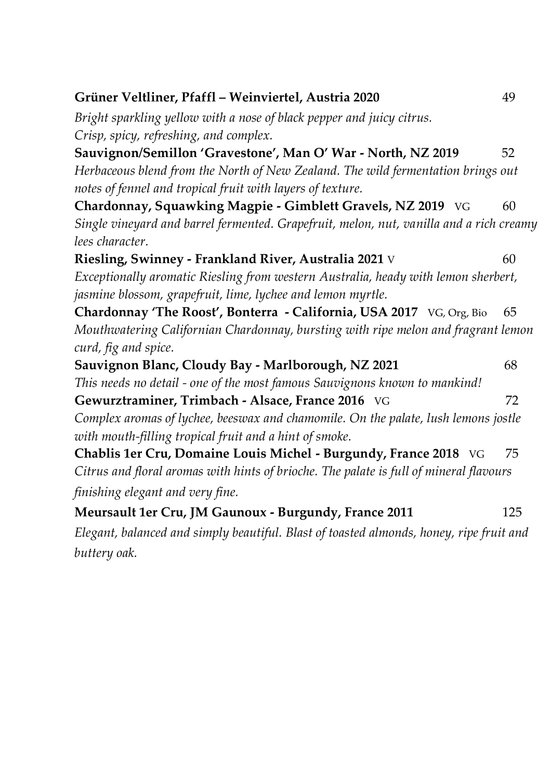| Grüner Veltliner, Pfaffl - Weinviertel, Austria 2020                                    | 49  |
|-----------------------------------------------------------------------------------------|-----|
| Bright sparkling yellow with a nose of black pepper and juicy citrus.                   |     |
| Crisp, spicy, refreshing, and complex.                                                  |     |
| Sauvignon/Semillon 'Gravestone', Man O' War - North, NZ 2019                            | 52  |
| Herbaceous blend from the North of New Zealand. The wild fermentation brings out        |     |
| notes of fennel and tropical fruit with layers of texture.                              |     |
| Chardonnay, Squawking Magpie - Gimblett Gravels, NZ 2019 VG                             | 60  |
| Single vineyard and barrel fermented. Grapefruit, melon, nut, vanilla and a rich creamy |     |
| lees character.                                                                         |     |
| Riesling, Swinney - Frankland River, Australia 2021 V                                   | 60  |
| Exceptionally aromatic Riesling from western Australia, heady with lemon sherbert,      |     |
| jasmine blossom, grapefruit, lime, lychee and lemon myrtle.                             |     |
| Chardonnay 'The Roost', Bonterra - California, USA 2017 VG, Org, Bio                    | 65  |
| Mouthwatering Californian Chardonnay, bursting with ripe melon and fragrant lemon       |     |
| curd, fig and spice.                                                                    |     |
| Sauvignon Blanc, Cloudy Bay - Marlborough, NZ 2021                                      | 68  |
| This needs no detail - one of the most famous Sauvignons known to mankind!              |     |
| Gewurztraminer, Trimbach - Alsace, France 2016 VG                                       | 72  |
| Complex aromas of lychee, beeswax and chamomile. On the palate, lush lemons jostle      |     |
| with mouth-filling tropical fruit and a hint of smoke.                                  |     |
| Chablis 1er Cru, Domaine Louis Michel - Burgundy, France 2018 VG                        | 75  |
| Citrus and floral aromas with hints of brioche. The palate is full of mineral flavours  |     |
| finishing elegant and very fine.                                                        |     |
| Meursault 1er Cru, JM Gaunoux - Burgundy, France 2011                                   | 125 |
| Elegant, balanced and simply beautiful. Blast of toasted almonds, honey, ripe fruit and |     |

*buttery oak.*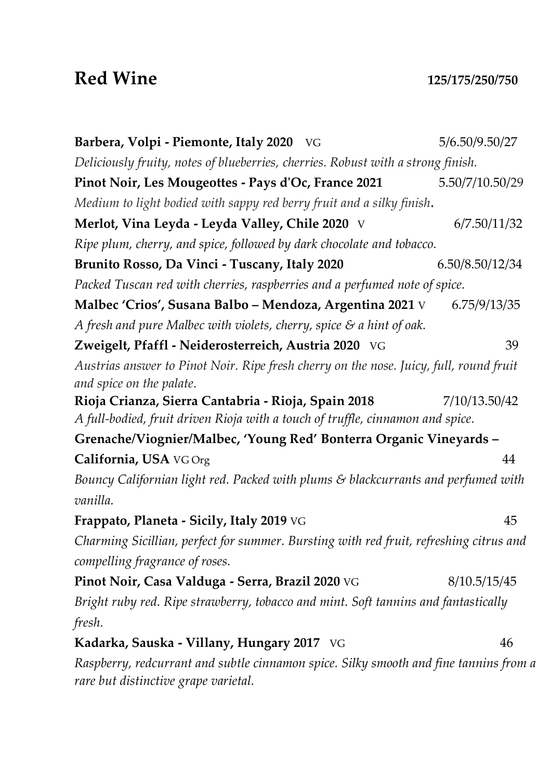#### **Red Wine 125/175/250/750**

| Barbera, Volpi - Piemonte, Italy 2020 VG                                                                                      | 5/6.50/9.50/27  |  |
|-------------------------------------------------------------------------------------------------------------------------------|-----------------|--|
| Deliciously fruity, notes of blueberries, cherries. Robust with a strong finish.                                              |                 |  |
| Pinot Noir, Les Mougeottes - Pays d'Oc, France 2021                                                                           | 5.50/7/10.50/29 |  |
| Medium to light bodied with sappy red berry fruit and a silky finish.                                                         |                 |  |
| Merlot, Vina Leyda - Leyda Valley, Chile 2020 V                                                                               | 6/7.50/11/32    |  |
| Ripe plum, cherry, and spice, followed by dark chocolate and tobacco.                                                         |                 |  |
| Brunito Rosso, Da Vinci - Tuscany, Italy 2020                                                                                 | 6.50/8.50/12/34 |  |
| Packed Tuscan red with cherries, raspberries and a perfumed note of spice.                                                    |                 |  |
| Malbec 'Crios', Susana Balbo - Mendoza, Argentina 2021 V 6.75/9/13/35                                                         |                 |  |
| A fresh and pure Malbec with violets, cherry, spice $\mathcal S$ a hint of oak.                                               |                 |  |
| Zweigelt, Pfaffl - Neiderosterreich, Austria 2020 VG                                                                          | 39              |  |
| Austrias answer to Pinot Noir. Ripe fresh cherry on the nose. Juicy, full, round fruit<br>and spice on the palate.            |                 |  |
| Rioja Crianza, Sierra Cantabria - Rioja, Spain 2018                                                                           | 7/10/13.50/42   |  |
| A full-bodied, fruit driven Rioja with a touch of truffle, cinnamon and spice.                                                |                 |  |
| Grenache/Viognier/Malbec, 'Young Red' Bonterra Organic Vineyards -                                                            |                 |  |
| California, USA VG Org                                                                                                        | 44              |  |
| Bouncy Californian light red. Packed with plums & blackcurrants and perfumed with<br>vanilla.                                 |                 |  |
| Frappato, Planeta - Sicily, Italy 2019 VG                                                                                     | 45              |  |
| Charming Sicillian, perfect for summer. Bursting with red fruit, refreshing citrus and<br>compelling fragrance of roses.      |                 |  |
| Pinot Noir, Casa Valduga - Serra, Brazil 2020 VG                                                                              | 8/10.5/15/45    |  |
| Bright ruby red. Ripe strawberry, tobacco and mint. Soft tannins and fantastically                                            |                 |  |
| fresh.                                                                                                                        |                 |  |
| Kadarka, Sauska - Villany, Hungary 2017 VG                                                                                    | 46              |  |
| Raspberry, redcurrant and subtle cinnamon spice. Silky smooth and fine tannins from a<br>rare but distinctive grape varietal. |                 |  |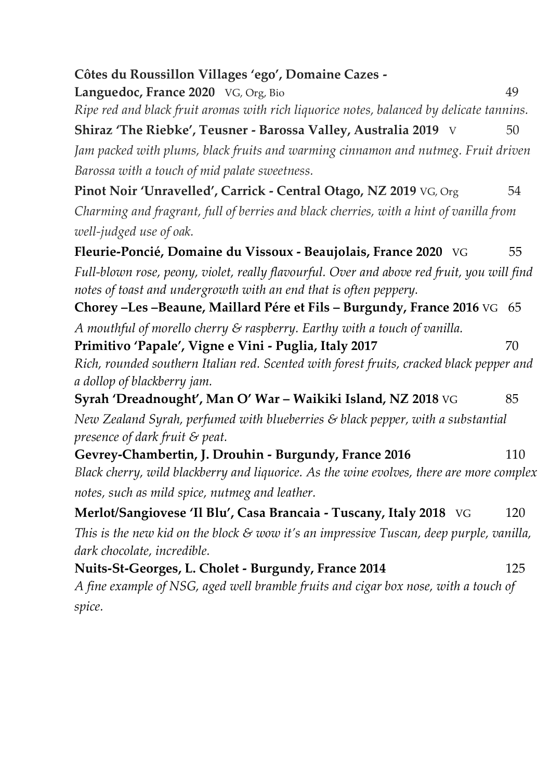| Côtes du Roussillon Villages 'ego', Domaine Cazes -                                                                                                             |      |  |
|-----------------------------------------------------------------------------------------------------------------------------------------------------------------|------|--|
| Languedoc, France 2020 VG, Org, Bio                                                                                                                             | 49   |  |
| Ripe red and black fruit aromas with rich liquorice notes, balanced by delicate tannins.                                                                        |      |  |
| Shiraz 'The Riebke', Teusner - Barossa Valley, Australia 2019 V                                                                                                 | 50   |  |
| Jam packed with plums, black fruits and warming cinnamon and nutmeg. Fruit driven                                                                               |      |  |
| Barossa with a touch of mid palate sweetness.                                                                                                                   |      |  |
| Pinot Noir 'Unravelled', Carrick - Central Otago, NZ 2019 VG, Org                                                                                               | 54   |  |
| Charming and fragrant, full of berries and black cherries, with a hint of vanilla from                                                                          |      |  |
| well-judged use of oak.                                                                                                                                         |      |  |
| Fleurie-Poncié, Domaine du Vissoux - Beaujolais, France 2020 VG                                                                                                 | 55   |  |
| Full-blown rose, peony, violet, really flavourful. Over and above red fruit, you will find<br>notes of toast and undergrowth with an end that is often peppery. |      |  |
| Chorey -Les -Beaune, Maillard Pére et Fils - Burgundy, France 2016 VG                                                                                           | - 65 |  |
| A mouthful of morello cherry & raspberry. Earthy with a touch of vanilla.                                                                                       |      |  |
| Primitivo 'Papale', Vigne e Vini - Puglia, Italy 2017                                                                                                           | 70   |  |
| Rich, rounded southern Italian red. Scented with forest fruits, cracked black pepper and                                                                        |      |  |
| a dollop of blackberry jam.                                                                                                                                     |      |  |
| Syrah 'Dreadnought', Man O' War - Waikiki Island, NZ 2018 VG                                                                                                    | 85   |  |
| New Zealand Syrah, perfumed with blueberries & black pepper, with a substantial<br>presence of dark fruit & peat.                                               |      |  |
| Gevrey-Chambertin, J. Drouhin - Burgundy, France 2016                                                                                                           | 110  |  |
| Black cherry, wild blackberry and liquorice. As the wine evolves, there are more complex                                                                        |      |  |
| notes, such as mild spice, nutmeg and leather.                                                                                                                  |      |  |
| Merlot/Sangiovese 'Il Blu', Casa Brancaia - Tuscany, Italy 2018 VG                                                                                              | 120  |  |
| This is the new kid on the block $\mathcal S$ wow it's an impressive Tuscan, deep purple, vanilla,<br>dark chocolate, incredible.                               |      |  |
| Nuits-St-Georges, L. Cholet - Burgundy, France 2014                                                                                                             | 125  |  |
| A fine example of NSG, aged well bramble fruits and cigar box nose, with a touch of                                                                             |      |  |
| spice.                                                                                                                                                          |      |  |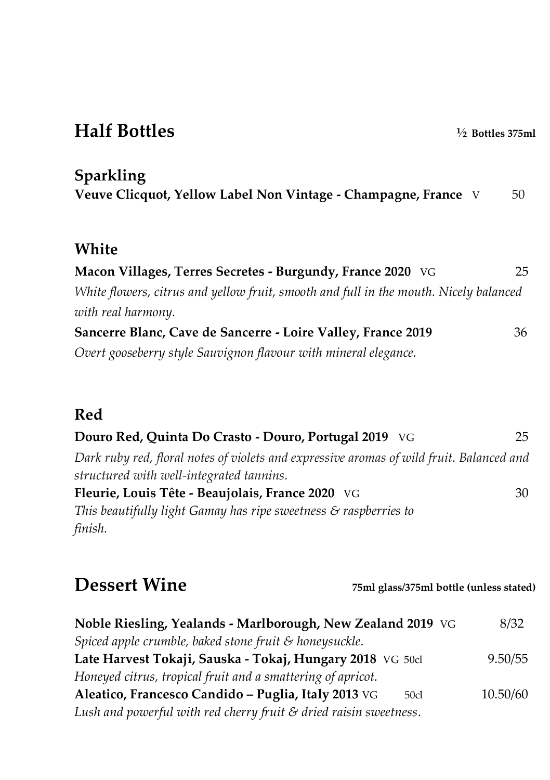# **Half Bottles ½ Bottles 375ml**

**Sparkling**

| Veuve Clicquot, Yellow Label Non Vintage - Champagne, France V |  | 50 |
|----------------------------------------------------------------|--|----|
|----------------------------------------------------------------|--|----|

#### **White**

| Macon Villages, Terres Secretes - Burgundy, France 2020 VG                            | 25 |
|---------------------------------------------------------------------------------------|----|
| White flowers, citrus and yellow fruit, smooth and full in the mouth. Nicely balanced |    |
| with real harmony.                                                                    |    |
| Sancerre Blanc, Cave de Sancerre - Loire Valley, France 2019                          | 36 |
| Overt gooseberry style Sauvignon flavour with mineral elegance.                       |    |

#### **Red**

| Douro Red, Quinta Do Crasto - Douro, Portugal 2019 VG                                    | 25 |
|------------------------------------------------------------------------------------------|----|
| Dark ruby red, floral notes of violets and expressive aromas of wild fruit. Balanced and |    |
| structured with well-integrated tannins.                                                 |    |
| Fleurie, Louis Tête - Beaujolais, France 2020 VG                                         | 30 |
| This beautifully light Gamay has ripe sweetness $\mathcal S$ raspberries to              |    |
| finish.                                                                                  |    |

**Dessert Wine 75ml glass/375ml bottle (unless stated)**

| Noble Riesling, Yealands - Marlborough, New Zealand 2019 VG                  | 8/32     |
|------------------------------------------------------------------------------|----------|
| Spiced apple crumble, baked stone fruit & honeysuckle.                       |          |
| Late Harvest Tokaji, Sauska - Tokaj, Hungary 2018 VG 50d                     | 9.50/55  |
| Honeyed citrus, tropical fruit and a smattering of apricot.                  |          |
| Aleatico, Francesco Candido – Puglia, Italy 2013 VG<br>50c1                  | 10.50/60 |
| Lush and powerful with red cherry fruit $\mathcal S$ dried raisin sweetness. |          |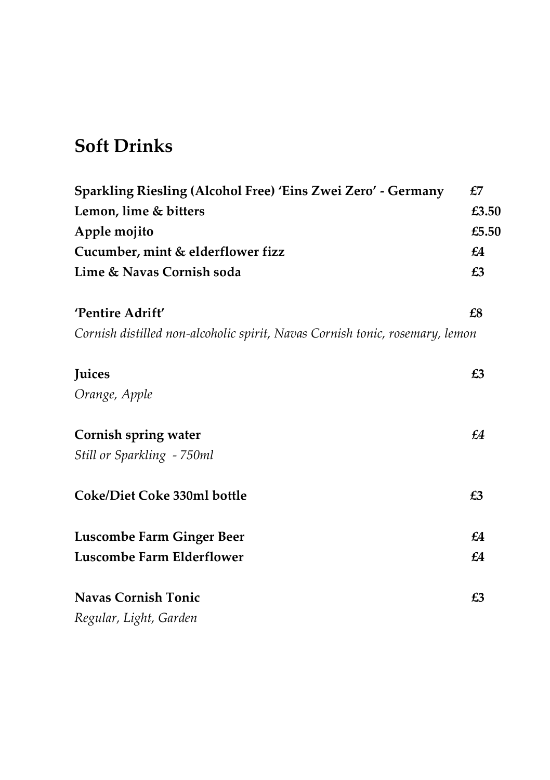# **Soft Drinks**

| Sparkling Riesling (Alcohol Free) 'Eins Zwei Zero' - Germany                 | £7    |
|------------------------------------------------------------------------------|-------|
| Lemon, lime & bitters                                                        | £3.50 |
| Apple mojito                                                                 | £5.50 |
| Cucumber, mint & elderflower fizz                                            | £4    |
| Lime & Navas Cornish soda                                                    | £3    |
| 'Pentire Adrift'                                                             | £8    |
| Cornish distilled non-alcoholic spirit, Navas Cornish tonic, rosemary, lemon |       |
| Juices                                                                       | £3    |
| Orange, Apple                                                                |       |
| Cornish spring water                                                         | £4    |
| Still or Sparkling - 750ml                                                   |       |
| Coke/Diet Coke 330ml bottle                                                  | £3    |
| Luscombe Farm Ginger Beer                                                    | £4    |
| Luscombe Farm Elderflower                                                    | £4    |
| <b>Navas Cornish Tonic</b>                                                   | £3    |
| Regular, Light, Garden                                                       |       |